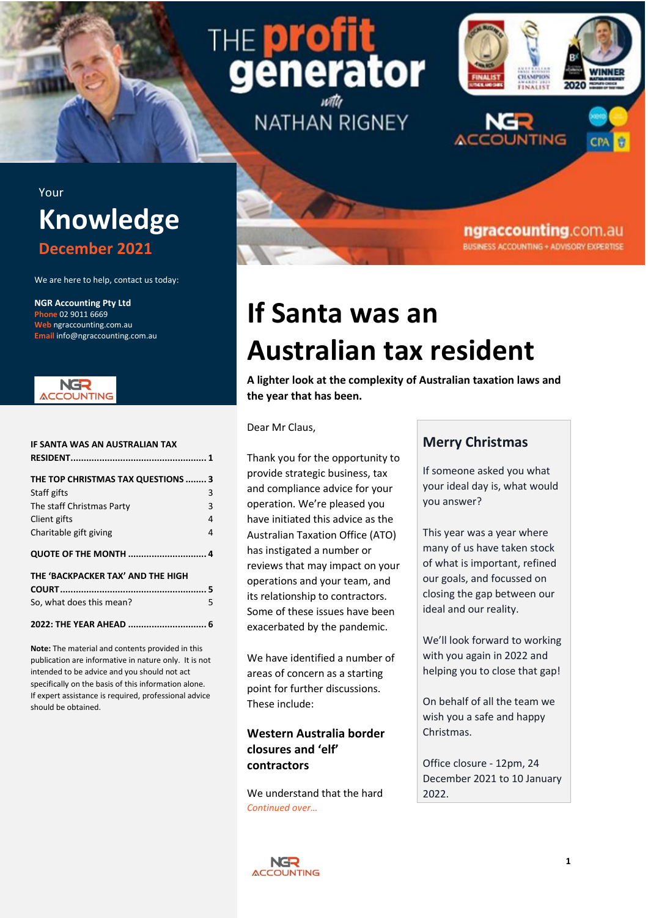# THE **p**r generator **NATHAN RIGNEY**



ngraccounting.com.au **BUSINESS ACCOUNTING + ADVISORY EXPERTISE** 

# Your **Knowledge December 2021**

We are here to help, contact us today:

**NGR Accounting Pty Ltd Phone** 02 9011 6669 **Web** ngraccounting.com.au **Email** info@ngraccounting.com.au



| IF SANTA WAS AN AUSTRALIAN TAX                    |        |
|---------------------------------------------------|--------|
| THE TOP CHRISTMAS TAX QUESTIONS  3<br>Staff gifts | 3      |
| The staff Christmas Party                         | 3      |
| Client gifts<br>Charitable gift giving            | 4<br>4 |
| <b>QUOTE OF THE MONTH  4</b>                      |        |
| THE 'BACKPACKER TAX' AND THE HIGH                 |        |
|                                                   |        |
| So, what does this mean?                          | 5      |
| 2022: THE YEAR AHEAD  6                           |        |

**Note:** The material and contents provided in this publication are informative in nature only. It is not intended to be advice and you should not act specifically on the basis of this information alone. If expert assistance is required, professional advice should be obtained.

# **If Santa was an Australian tax resident**

<span id="page-0-0"></span>**A lighter look at the complexity of Australian taxation laws and the year that has been.**

Dear Mr Claus,

Thank you for the opportunity to provide strategic business, tax and compliance advice for your operation. We're pleased you have initiated this advice as the Australian Taxation Office (ATO) has instigated a number or reviews that may impact on your operations and your team, and its relationship to contractors. Some of these issues have been exacerbated by the pandemic.

We have identified a number of areas of concern as a starting point for further discussions. These include:

## **Western Australia border closures and 'elf' contractors**

We understand that the hard *Continued over…*

# **Merry Christmas**

If someone asked you what your ideal day is, what would you answer?

This year was a year where many of us have taken stock of what is important, refined our goals, and focussed on closing the gap between our ideal and our reality.

We'll look forward to working with you again in 2022 and helping you to close that gap!

On behalf of all the team we wish you a safe and happy Christmas.

Office closure - 12pm, 24 December 2021 to 10 January 2022.

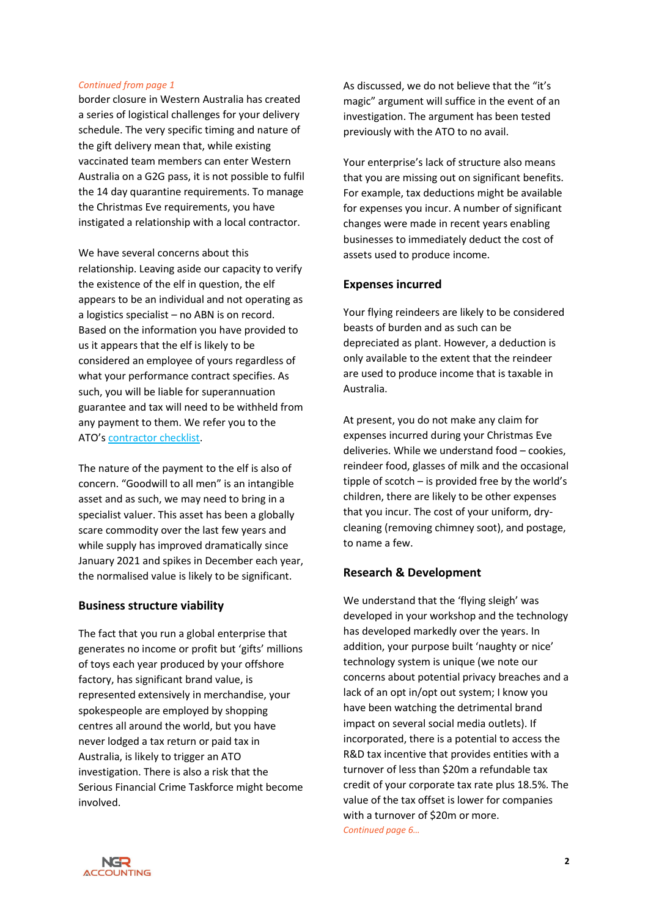#### *Continued from page 1*

border closure in Western Australia has created a series of logistical challenges for your delivery schedule. The very specific timing and nature of the gift delivery mean that, while existing vaccinated team members can enter Western Australia on a G2G pass, it is not possible to fulfil the 14 day quarantine requirements. To manage the Christmas Eve requirements, you have instigated a relationship with a local contractor.

We have several concerns about this relationship. Leaving aside our capacity to verify the existence of the elf in question, the elf appears to be an individual and not operating as a logistics specialist – no ABN is on record. Based on the information you have provided to us it appears that the elf is likely to be considered an employee of yours regardless of what your performance contract specifies. As such, you will be liable for superannuation guarantee and tax will need to be withheld from any payment to them. We refer you to the ATO's [contractor checklist.](https://www.ato.gov.au/Business/Your-workers/Contractor---checklist/)

The nature of the payment to the elf is also of concern. "Goodwill to all men" is an intangible asset and as such, we may need to bring in a specialist valuer. This asset has been a globally scare commodity over the last few years and while supply has improved dramatically since January 2021 and spikes in December each year, the normalised value is likely to be significant.

### **Business structure viability**

The fact that you run a global enterprise that generates no income or profit but 'gifts' millions of toys each year produced by your offshore factory, has significant brand value, is represented extensively in merchandise, your spokespeople are employed by shopping centres all around the world, but you have never lodged a tax return or paid tax in Australia, is likely to trigger an ATO investigation. There is also a risk that the Serious Financial Crime Taskforce might become involved.

As discussed, we do not believe that the "it's magic" argument will suffice in the event of an investigation. The argument has been tested previously with the ATO to no avail.

Your enterprise's lack of structure also means that you are missing out on significant benefits. For example, tax deductions might be available for expenses you incur. A number of significant changes were made in recent years enabling businesses to immediately deduct the cost of assets used to produce income.

### **Expenses incurred**

Your flying reindeers are likely to be considered beasts of burden and as such can be depreciated as plant. However, a deduction is only available to the extent that the reindeer are used to produce income that is taxable in Australia.

At present, you do not make any claim for expenses incurred during your Christmas Eve deliveries. While we understand food – cookies, reindeer food, glasses of milk and the occasional tipple of scotch – is provided free by the world's children, there are likely to be other expenses that you incur. The cost of your uniform, drycleaning (removing chimney soot), and postage, to name a few.

### **Research & Development**

We understand that the 'flying sleigh' was developed in your workshop and the technology has developed markedly over the years. In addition, your purpose built 'naughty or nice' technology system is unique (we note our concerns about potential privacy breaches and a lack of an opt in/opt out system; I know you have been watching the detrimental brand impact on several social media outlets). If incorporated, there is a potential to access the R&D tax incentive that provides entities with a turnover of less than \$20m a refundable tax credit of your corporate tax rate plus 18.5%. The value of the tax offset is lower for companies with a turnover of \$20m or more. *Continued page 6…*

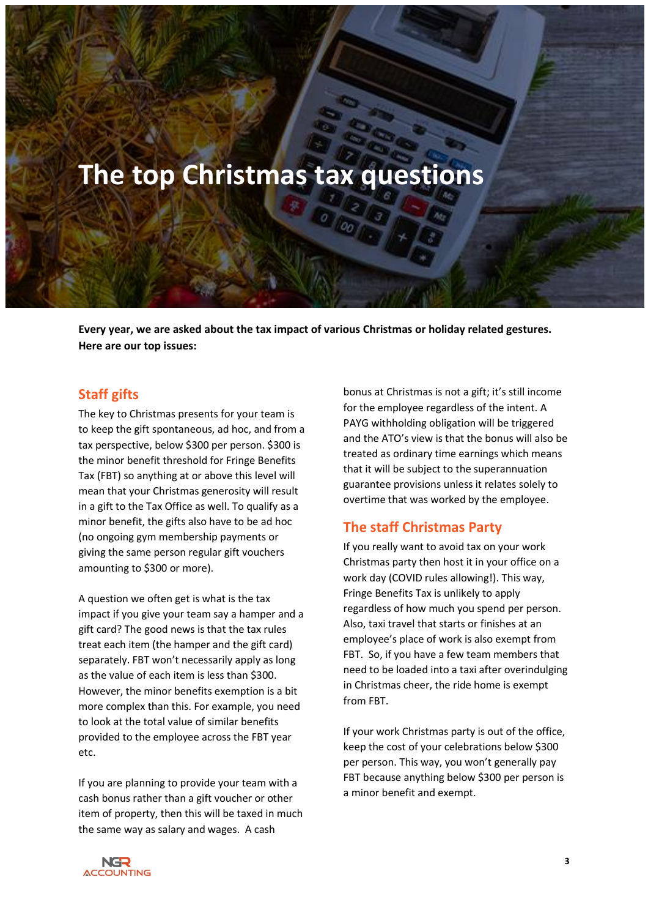# <span id="page-2-0"></span>**The top Christmas tax questions**

**Every year, we are asked about the tax impact of various Christmas or holiday related gestures. Here are our top issues:**

## <span id="page-2-1"></span>**Staff gifts**

The key to Christmas presents for your team is to keep the gift spontaneous, ad hoc, and from a tax perspective, below \$300 per person. \$300 is the minor benefit threshold for Fringe Benefits Tax (FBT) so anything at or above this level will mean that your Christmas generosity will result in a gift to the Tax Office as well. To qualify as a minor benefit, the gifts also have to be ad hoc (no ongoing gym membership payments or giving the same person regular gift vouchers amounting to \$300 or more).

A question we often get is what is the tax impact if you give your team say a hamper and a gift card? The good news is that the tax rules treat each item (the hamper and the gift card) separately. FBT won't necessarily apply as long as the value of each item is less than \$300. However, the minor benefits exemption is a bit more complex than this. For example, you need to look at the total value of similar benefits provided to the employee across the FBT year etc.

If you are planning to provide your team with a cash bonus rather than a gift voucher or other item of property, then this will be taxed in much the same way as salary and wages. A cash

bonus at Christmas is not a gift; it's still income for the employee regardless of the intent. A PAYG withholding obligation will be triggered and the ATO's view is that the bonus will also be treated as ordinary time earnings which means that it will be subject to the superannuation guarantee provisions unless it relates solely to overtime that was worked by the employee.

## <span id="page-2-2"></span>**The staff Christmas Party**

If you really want to avoid tax on your work Christmas party then host it in your office on a work day (COVID rules allowing!). This way, Fringe Benefits Tax is unlikely to apply regardless of how much you spend per person. Also, taxi travel that starts or finishes at an employee's place of work is also exempt from FBT. So, if you have a few team members that need to be loaded into a taxi after overindulging in Christmas cheer, the ride home is exempt from FBT.

If your work Christmas party is out of the office, keep the cost of your celebrations below \$300 per person. This way, you won't generally pay FBT because anything below \$300 per person is a minor benefit and exempt.

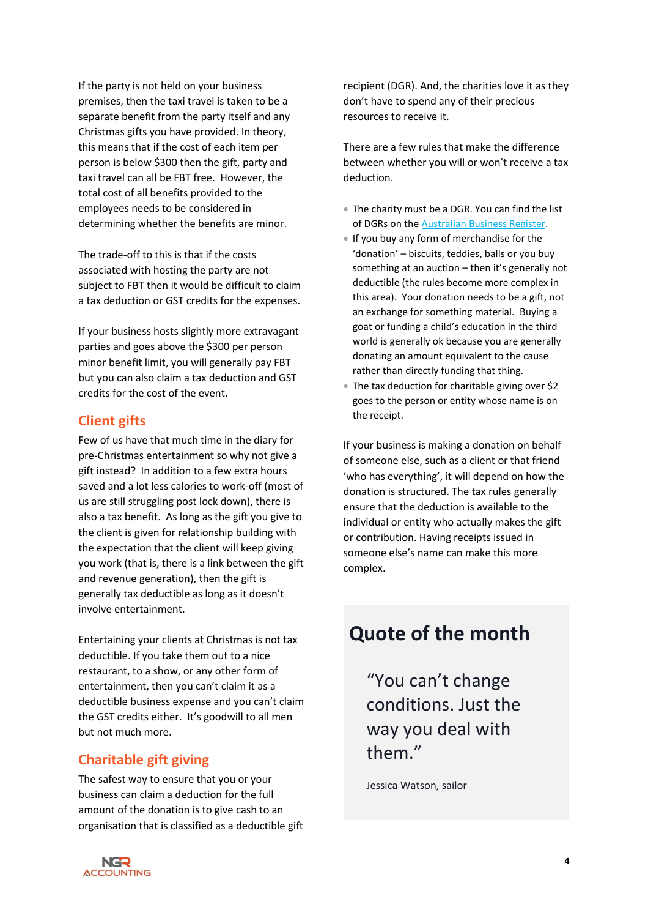If the party is not held on your business premises, then the taxi travel is taken to be a separate benefit from the party itself and any Christmas gifts you have provided. In theory, this means that if the cost of each item per person is below \$300 then the gift, party and taxi travel can all be FBT free. However, the total cost of all benefits provided to the employees needs to be considered in determining whether the benefits are minor.

The trade-off to this is that if the costs associated with hosting the party are not subject to FBT then it would be difficult to claim a tax deduction or GST credits for the expenses.

If your business hosts slightly more extravagant parties and goes above the \$300 per person minor benefit limit, you will generally pay FBT but you can also claim a tax deduction and GST credits for the cost of the event.

# <span id="page-3-0"></span>**Client gifts**

Few of us have that much time in the diary for pre-Christmas entertainment so why not give a gift instead? In addition to a few extra hours saved and a lot less calories to work-off (most of us are still struggling post lock down), there is also a tax benefit. As long as the gift you give to the client is given for relationship building with the expectation that the client will keep giving you work (that is, there is a link between the gift and revenue generation), then the gift is generally tax deductible as long as it doesn't involve entertainment.

Entertaining your clients at Christmas is not tax deductible. If you take them out to a nice restaurant, to a show, or any other form of entertainment, then you can't claim it as a deductible business expense and you can't claim the GST credits either. It's goodwill to all men but not much more.

# <span id="page-3-1"></span>**Charitable gift giving**

The safest way to ensure that you or your business can claim a deduction for the full amount of the donation is to give cash to an organisation that is classified as a deductible gift recipient (DGR). And, the charities love it as they don't have to spend any of their precious resources to receive it.

There are a few rules that make the difference between whether you will or won't receive a tax deduction.

- The charity must be a DGR. You can find the list of DGRs on the [Australian Business Register.](https://abr.business.gov.au/Tools/DgrListing)
- If you buy any form of merchandise for the 'donation' – biscuits, teddies, balls or you buy something at an auction – then it's generally not deductible (the rules become more complex in this area). Your donation needs to be a gift, not an exchange for something material. Buying a goat or funding a child's education in the third world is generally ok because you are generally donating an amount equivalent to the cause rather than directly funding that thing.
- The tax deduction for charitable giving over \$2 goes to the person or entity whose name is on the receipt.

If your business is making a donation on behalf of someone else, such as a client or that friend 'who has everything', it will depend on how the donation is structured. The tax rules generally ensure that the deduction is available to the individual or entity who actually makes the gift or contribution. Having receipts issued in someone else's name can make this more complex.

# <span id="page-3-2"></span>**Quote of the month**

"You can't change conditions. Just the way you deal with them."

Jessica Watson, sailor

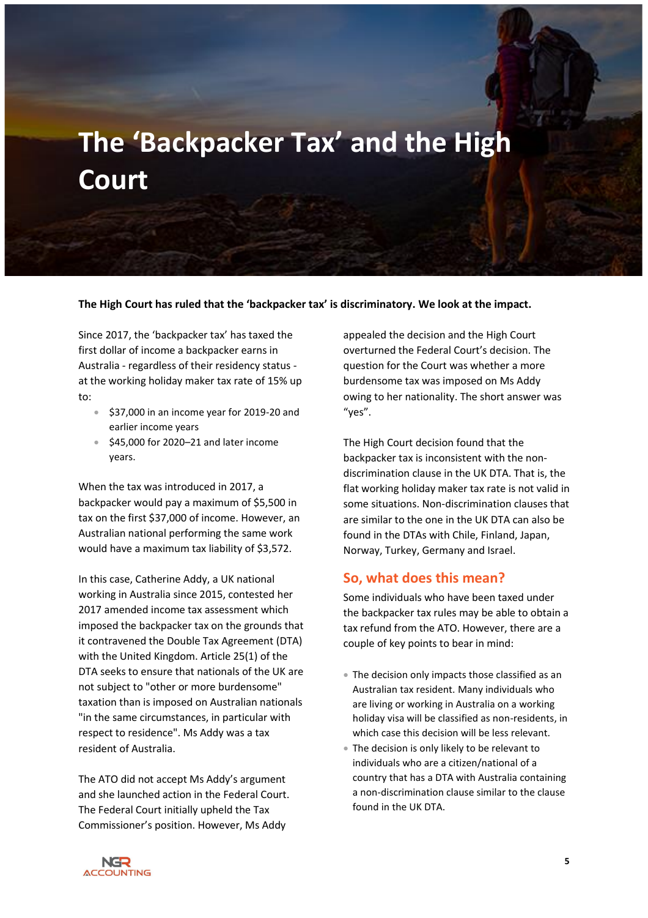# <span id="page-4-0"></span>**The 'Backpacker Tax' and the High Court**

**The High Court has ruled that the 'backpacker tax' is discriminatory. We look at the impact.**

Since 2017, the 'backpacker tax' has taxed the first dollar of income a backpacker earns in Australia - regardless of their residency status at the working holiday maker tax rate of 15% up to:

- \$37,000 in an income year for 2019-20 and earlier income years
- \$45,000 for 2020–21 and later income years.

When the tax was introduced in 2017, a backpacker would pay a maximum of \$5,500 in tax on the first \$37,000 of income. However, an Australian national performing the same work would have a maximum tax liability of \$3,572.

In this case, Catherine Addy, a UK national working in Australia since 2015, contested her 2017 amended income tax assessment which imposed the backpacker tax on the grounds that it contravened the Double Tax Agreement (DTA) with the United Kingdom. Article 25(1) of the DTA seeks to ensure that nationals of the UK are not subject to "other or more burdensome" taxation than is imposed on Australian nationals "in the same circumstances, in particular with respect to residence". Ms Addy was a tax resident of Australia.

The ATO did not accept Ms Addy's argument and she launched action in the Federal Court. The Federal Court initially upheld the Tax Commissioner's position. However, Ms Addy

appealed the decision and the High Court overturned the Federal Court's decision. The question for the Court was whether a more burdensome tax was imposed on Ms Addy owing to her nationality. The short answer was "yes".

The High Court decision found that the backpacker tax is inconsistent with the nondiscrimination clause in the UK DTA. That is, the flat working holiday maker tax rate is not valid in some situations. Non-discrimination clauses that are similar to the one in the UK DTA can also be found in the DTAs with Chile, Finland, Japan, Norway, Turkey, Germany and Israel.

### <span id="page-4-1"></span>**So, what does this mean?**

Some individuals who have been taxed under the backpacker tax rules may be able to obtain a tax refund from the ATO. However, there are a couple of key points to bear in mind:

- The decision only impacts those classified as an Australian tax resident. Many individuals who are living or working in Australia on a working holiday visa will be classified as non-residents, in which case this decision will be less relevant.
- The decision is only likely to be relevant to individuals who are a citizen/national of a country that has a DTA with Australia containing a non-discrimination clause similar to the clause found in the UK DTA.